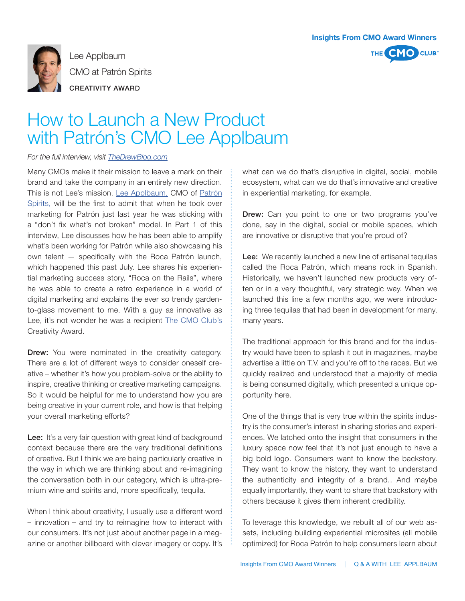



Lee Applbaum CMO at Patrón Spirits CREATIVITY AWARD

## How to Launch a New Product with Patrón's CMO Lee Applbaum

## *For the full interview, visit TheDrewBlog.com*

Many CMOs make it their mission to leave a mark on their brand and take the company in an entirely new direction. This is not Lee's mission. [Lee Applbaum,](https://www.linkedin.com/pub/lee-applbaum/8/921/7b0) CMO of [Patrón](http://patronspirits.com/) [Spirits,](http://patronspirits.com/) will be the first to admit that when he took over marketing for Patrón just last year he was sticking with a "don't fix what's not broken" model. In Part 1 of this interview, Lee discusses how he has been able to amplify what's been working for Patrón while also showcasing his own talent — specifically with the Roca Patrón launch, which happened this past July. Lee shares his experiential marketing success story, "Roca on the Rails", where he was able to create a retro experience in a world of digital marketing and explains the ever so trendy gardento-glass movement to me. With a guy as innovative as Lee, it's not wonder he was a recipient [The CMO Club's](http://thecmoclub.com/) Creativity Award.

**Drew:** You were nominated in the creativity category. There are a lot of different ways to consider oneself creative – whether it's how you problem-solve or the ability to inspire, creative thinking or creative marketing campaigns. So it would be helpful for me to understand how you are being creative in your current role, and how is that helping your overall marketing efforts?

Lee: It's a very fair question with great kind of background context because there are the very traditional definitions of creative. But I think we are being particularly creative in the way in which we are thinking about and re-imagining the conversation both in our category, which is ultra-premium wine and spirits and, more specifically, tequila.

When I think about creativity, I usually use a different word – innovation – and try to reimagine how to interact with our consumers. It's not just about another page in a magazine or another billboard with clever imagery or copy. It's what can we do that's disruptive in digital, social, mobile ecosystem, what can we do that's innovative and creative in experiential marketing, for example.

**Drew:** Can you point to one or two programs you've done, say in the digital, social or mobile spaces, which are innovative or disruptive that you're proud of?

Lee: We recently launched a new line of artisanal tequilas called the Roca Patrón, which means rock in Spanish. Historically, we haven't launched new products very often or in a very thoughtful, very strategic way. When we launched this line a few months ago, we were introducing three tequilas that had been in development for many, many years.

The traditional approach for this brand and for the industry would have been to splash it out in magazines, maybe advertise a little on T.V. and you're off to the races. But we quickly realized and understood that a majority of media is being consumed digitally, which presented a unique opportunity here.

One of the things that is very true within the spirits industry is the consumer's interest in sharing stories and experiences. We latched onto the insight that consumers in the luxury space now feel that it's not just enough to have a big bold logo. Consumers want to know the backstory. They want to know the history, they want to understand the authenticity and integrity of a brand.. And maybe equally importantly, they want to share that backstory with others because it gives them inherent credibility.

To leverage this knowledge, we rebuilt all of our web assets, including building experiential microsites (all mobile optimized) for Roca Patrón to help consumers learn about